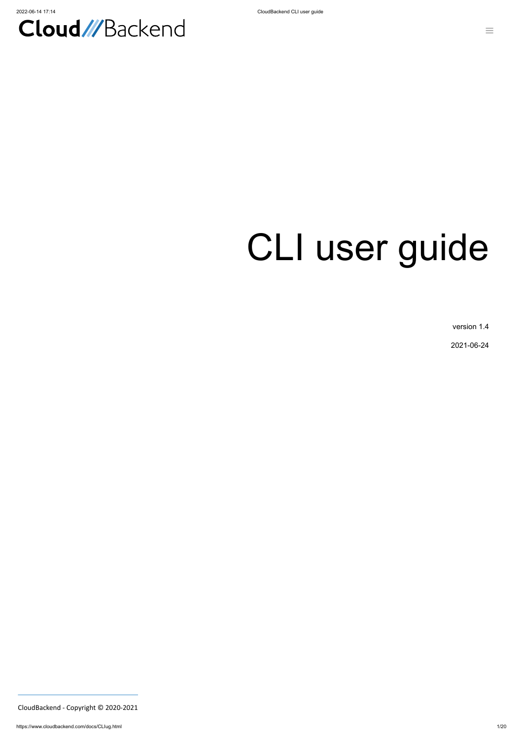

# CLI user guide

version 1.4

2021-06-24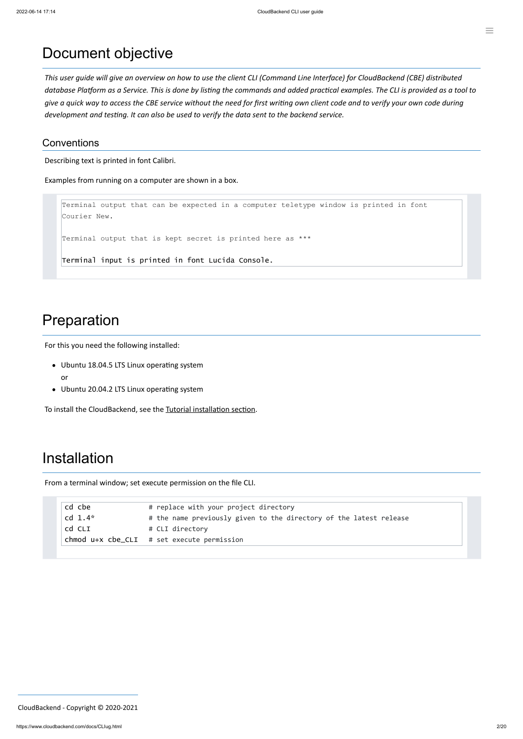#### Document objective

This user guide will give an overview on how to use the client CLI (Command Line Interface) for CloudBackend (CBE) distributed database Platform as a Service. This is done by listing the commands and added practical examples. The CLI is provided as a tool to give a quick way to access the CBE service without the need for first writing own client code and to verify your own code during *development and testing. It can also be used to verify the data sent to the backend service.*

#### **Conventions**

Describing text is printed in font Calibri.

Examples from running on a computer are shown in a box.

```
Terminal output that can be expected in a computer teletype window is printed in font
Courier New.
```
Terminal output that is kept secret is printed here as \*\*\*

Terminal input is printed in font Lucida Console.

#### Preparation

For this you need the following installed:

- Ubuntu 18.04.5 LTS Linux operating system or
- Ubuntu 20.04.2 LTS Linux operating system

To install the CloudBackend, see the [Tutorial installation](http://test.all-iot.eu/docs/Tutorial.html#installation) section.

#### Installation

From a terminal window; set execute permission on the file CLI.

| cd cbe    | # replace with your project directory                              |
|-----------|--------------------------------------------------------------------|
| cd $1.4*$ | # the name previously given to the directory of the latest release |
| cd CLI    | # CLI directory                                                    |
|           | $chmod$ $u+x$ $che_CLI$ # set execute permission                   |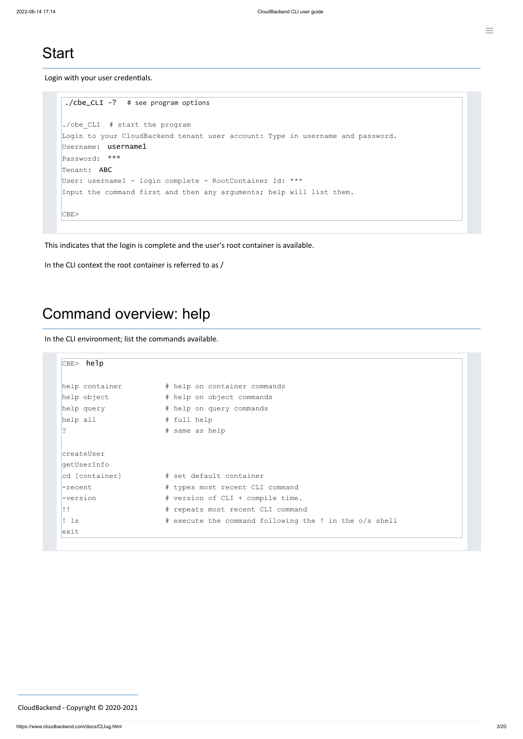#### **Start**

Login with your user credentials.

```
./cbe_CLI -? # see program options
./cbe CLI # start the program
Login to your CloudBackend tenant user account: Type in username and password.
Username: username1
Password: ***
Tenant: ABC
User: username1 - login complete - RootContainer Id: ***
Input the command first and then any arguments; help will list them.
CBE>
```
This indicates that the login is complete and the user's root container is available.

```
CBE> help
help container # help on container commands
help object # help on object commands
help query \qquad # help on query commands
help all # full help? # same as help
createUser
getUserInfo
cd [container] # set default container
-recent \qquad # types most recent CLI command
-version * version of CLI + compile time.
!! http://www.wii.br/> # repeats most recent CLI command
! Is \qquad # execute the command following the ! in the o/s shell
exit
```

```
In the CLI context the root container is referred to as /
```
#### Command overview: help

In the CLI environment; list the commands available.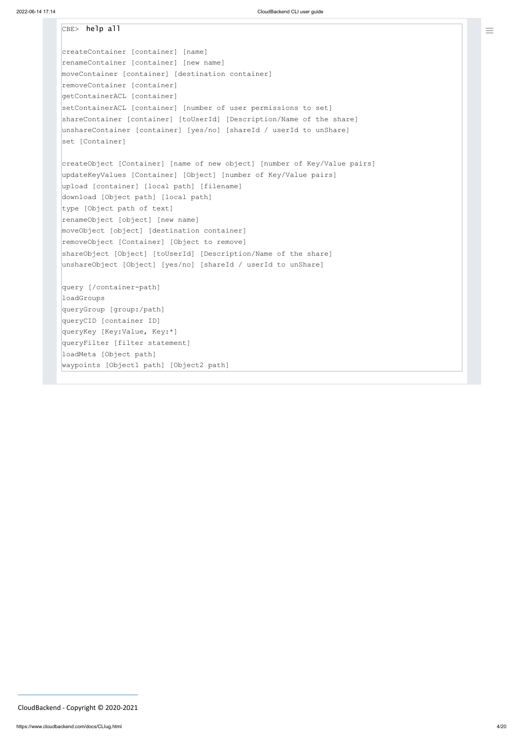```
CBE> help all
createContainer [container] [name]
renameContainer [container] [new name]
moveContainer [container] [destination container]
removeContainer [container]
getContainerACL [container]
setContainerACL [container] [number of user permissions to set]
shareContainer [container] [toUserId] [Description/Name of the share]
unshareContainer [container] [yes/no] [shareId / userId to unShare]
set [Container]
createObject [Container] [name of new object] [number of Key/Value pairs]
updateKeyValues [Container] [Object] [number of Key/Value pairs]
upload [container] [local path] [filename]
download [Object path] [local path]
type [Object path of text]
renameObject [object] [new name]
moveObject [object] [destination container]
removeObject [Container] [Object to remove]
shareObject [Object] [toUserId] [Description/Name of the share]
unshareObject [Object] [yes/no] [shareId / userId to unShare]
query [/container-path]
loadGroups
queryGroup [group:/path]
queryCID [container ID]
queryKey [Key:Value, Key:*]
queryFilter [filter statement]
loadMeta [Object path]
waypoints [Object1 path] [Object2 path]
```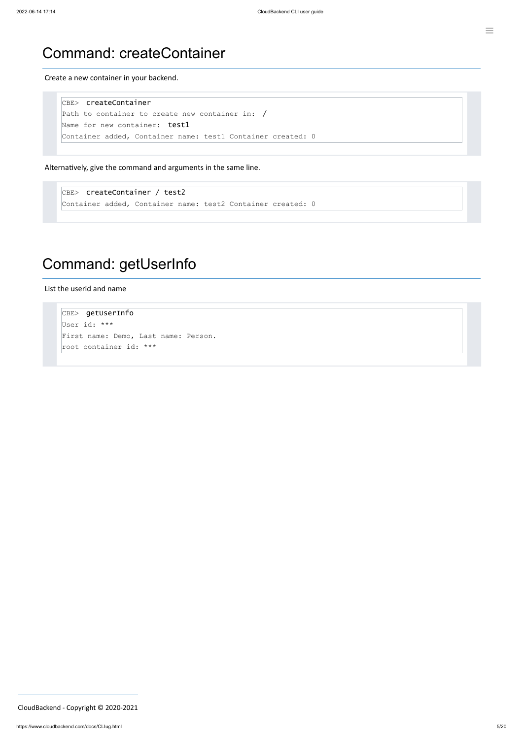#### Command: createContainer

Create a new container in your backend.

```
CBE> createContainer
Path to container to create new container in: /
Name for new container: test1
Container added, Container name: test1 Container created: 0
```
Alternatively, give the command and arguments in the same line.

CBE> createContainer / test2 Container added, Container name: test2 Container created: 0

## Command: getUserInfo

List the userid and name

CBE> getUserInfo User id: \*\*\* First name: Demo, Last name: Person. root container id: \*\*\*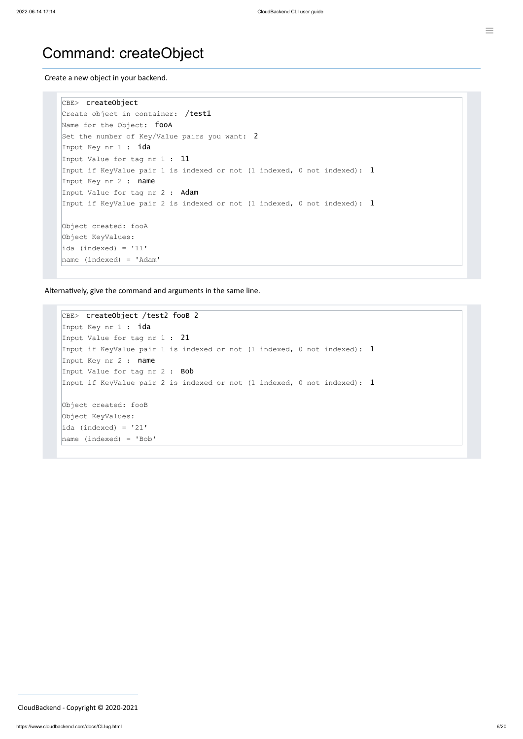#### Command: createObject

Create a new object in your backend.

```
CBE> createObject
Create object in container: /test1
Name for the Object: fooA
Set the number of Key/Value pairs you want: 2
Input Key nr 1 : ida
Input Value for tag nr 1 : 11
Input if KeyValue pair 1 is indexed or not (1 indexed, 0 not indexed): 1Input Key nr 2 : name
Input Value for tag nr 2 : Adam
Input if KeyValue pair 2 is indexed or not (1 indexed, 0 not indexed): 1Object created: fooA
Object KeyValues:
ida (indexed) = '11'
name (indexed) = 'Adam'
```
Alternatively, give the command and arguments in the same line.

```
CBE> createObject /test2 fooB 2
Input Key nr 1 : ida
Input Value for tag nr 1 : 21
Input if KeyValue pair 1 is indexed or not (1 indexed, 0 not indexed): 1Input Key nr 2 : name
Input Value for tag nr 2 : Bob
Input if KeyValue pair 2 is indexed or not (1 indexed, 0 not indexed): 1Object created: fooB
Object KeyValues:
ida (indexed) = '21'
name (indexed) = 'Bob'
```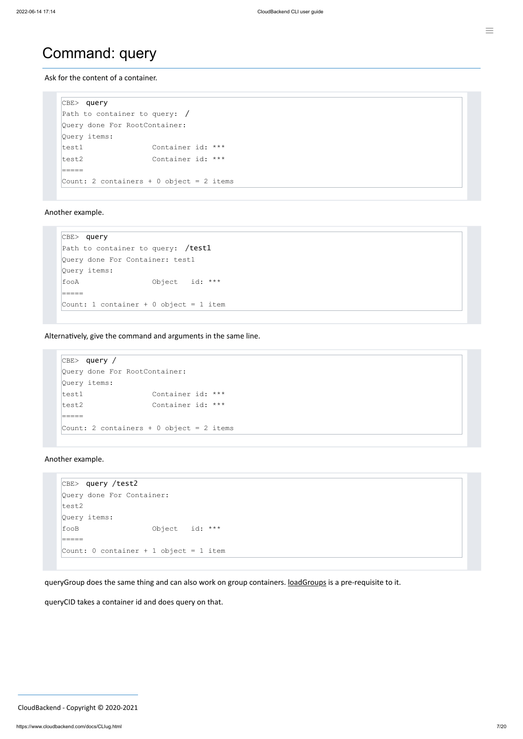```
CBE> query
Path to container to query: /
Query done For RootContainer:
Query items:
test1 Container id: ***
test2 Container id: ***
=====
Count: 2 containers + 0 object = 2 items
```
#### Command: query

Ask for the content of a container.

CBE> query Path to container to query: /test1 Query done For Container: test1 Query items: fooA Object id: \*\*\* ===== Count: 1 container + 0 object = 1 item

Another example.

```
CBE> query /test2
Query done For Container:
test2
Query items:
fooB Object id: ***
=====
Count: 0 container + 1 object = 1 item
```
queryGroup does the same thing and can also work on group containers. [loadGroups](#page-18-0) is a pre-requisite to it.

Alternatively, give the command and arguments in the same line.

```
CBE> query /
Query done For RootContainer:
Query items:
test1 Container id: ***
test2 Container id: ***
=====
Count: 2 containers + 0 object = 2 items
```
Another example.

queryCID takes a container id and does query on that.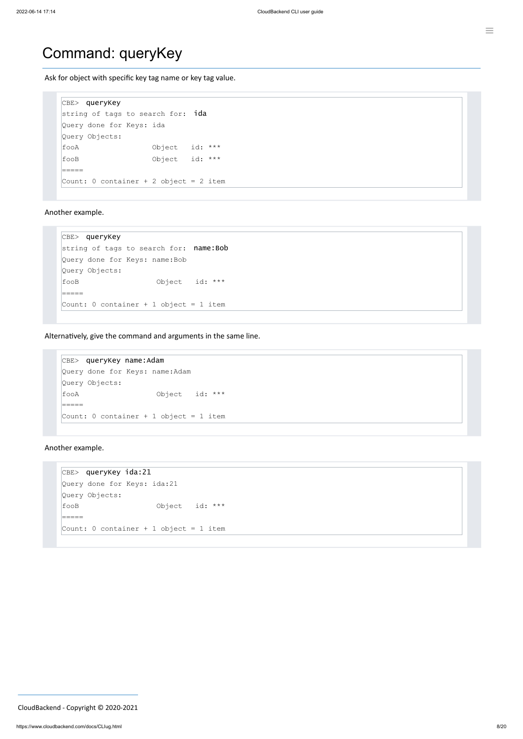```
CBE> queryKey
string of tags to search for: ida
Query done for Keys: ida
Query Objects:
fooA Object id: ***
fooB Object id: ***
=====
Count: 0 container + 2 object = 2 item
```
#### Command: queryKey

Ask for object with specific key tag name or key tag value.

```
CBE> queryKey
string of tags to search for: name: Bob
Query done for Keys: name:Bob
Query Objects:
fooB Object id: ***
=====
Count: 0 container + 1 object = 1 item
```

```
CBE> queryKey name:Adam
Query done for Keys: name:Adam
Query Objects:
fooA Object id: ***
=====
Count: 0 container + 1 object = 1 item
```
Another example.

Alternatively, give the command and arguments in the same line.

Another example.

```
CBE> queryKey ida:21
Query done for Keys: ida:21
Query Objects:
fooB Object id: ***
=====
Count: 0 container + 1 object = 1 item
```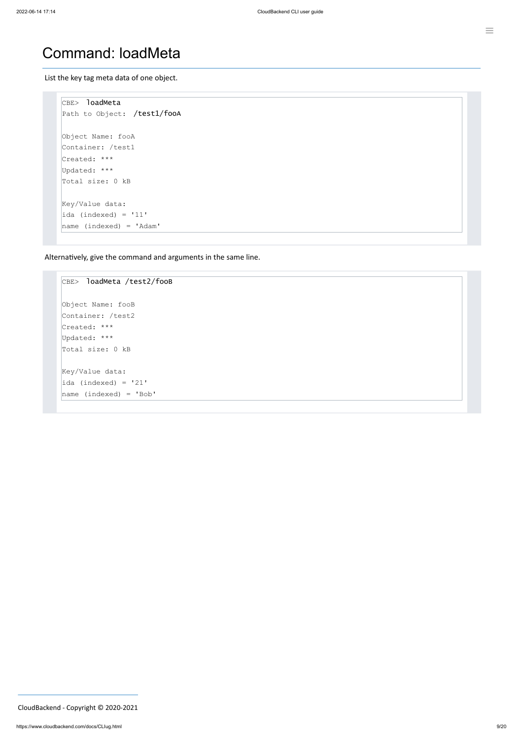#### Command: loadMeta

List the key tag meta data of one object.

```
CBE> loadMeta
Path to Object: /test1/fooA
Object Name: fooA
Container: /test1
Created: ***
Updated: ***
Total size: 0 kB
Key/Value data:
ida (indexed) = '11'
name (indexed) = 'Adam'
```
Alternatively, give the command and arguments in the same line.

```
CBE> loadMeta /test2/fooB
Object Name: fooB
Container: /test2
Created: ***
Updated: ***
Total size: 0 kB
Key/Value data:
iada (indexed) = '21'
name (indexed) = 'Bob'
```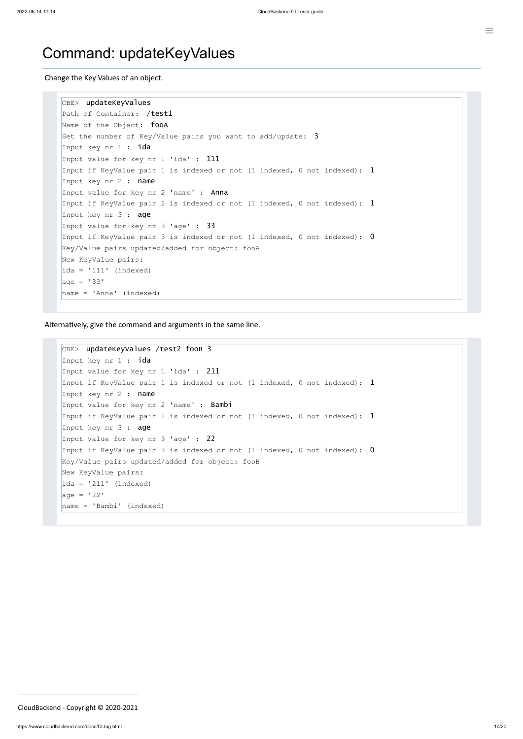#### Command: updateKeyValues

Change the Key Values of an object.

```
CBE> updateKeyValues
Path of Container: /test1
Name of the Object: fooA
Set the number of Key/Value pairs you want to add/update: 3Input key nr 1 : ida
Input value for key nr 1 'ida' : 111
Input if KeyValue pair 1 is indexed or not (1 indexed, 0 not indexed): 1Input key nr 2 : name
Input value for key nr 2 'name' : Anna
Input if KeyValue pair 2 is indexed or not (1 indexed, 0 not indexed): 1Input key nr 3 : age
Input value for key nr 3 'age' : 33
Input if KeyValue pair 3 is indexed or not (1 indexed, 0 not indexed): 0Key/Value pairs updated/added for object: fooA
New KeyValue pairs:
ida = '111' (indexed)
age = '33'name = 'Anna' (indexed)
```
Alternatively, give the command and arguments in the same line.

```
CBE> updateKeyValues /test2 fooB 3
Input key nr 1 : ida
Input value for key nr 1 'ida' : 211
Input if KeyValue pair 1 is indexed or not (1 indexed, 0 not indexed): 1Input key nr 2 : name
Input value for key nr 2 'name' : Bambi
Input if KeyValue pair 2 is indexed or not (1 indexed, 0 not indexed): 1Input key nr 3 : age
Input value for key nr 3 'age' : 22
Input if KeyValue pair 3 is indexed or not (1 indexed, 0 not indexed): 0Key/Value pairs updated/added for object: fooB
New KeyValue pairs:
iada = '211' (indexed)
|age = '22'name = 'Bambi' (indexed)
```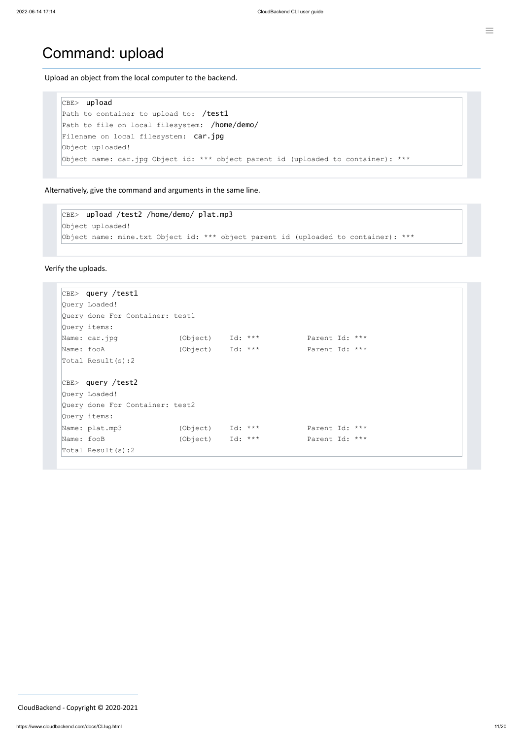#### Command: upload

Upload an object from the local computer to the backend.

```
CBE> upload
Path to container to upload to: /test1
Path to file on local filesystem: /home/demo/
Filename on local filesystem: car.jpg
Object uploaded!
Object name: car.jpg Object id: *** object parent id (uploaded to container): ***
```
Alternatively, give the command and arguments in the same line.

```
CBE> upload /test2 /home/demo/ plat.mp3
Object uploaded!
Object name: mine.txt Object id: *** object parent id (uploaded to container): ***
```
Verify the uploads.

```
CBE> query /test1
Query Loaded!
Query done For Container: test1
Query items:
Name: car.jpg (Object) Id: *** Parent Id: ***
Name: fooA (Object) Id: *** Parent Id: ***
Total Result(s):2
CBE> query /test2
Query Loaded!
Query done For Container: test2
Query items:
Name: plat.mp3 (Object) Id: *** Parent Id: ***
Name: fooB (Object) Id: *** Parent Id: ***
Total Result(s):2
```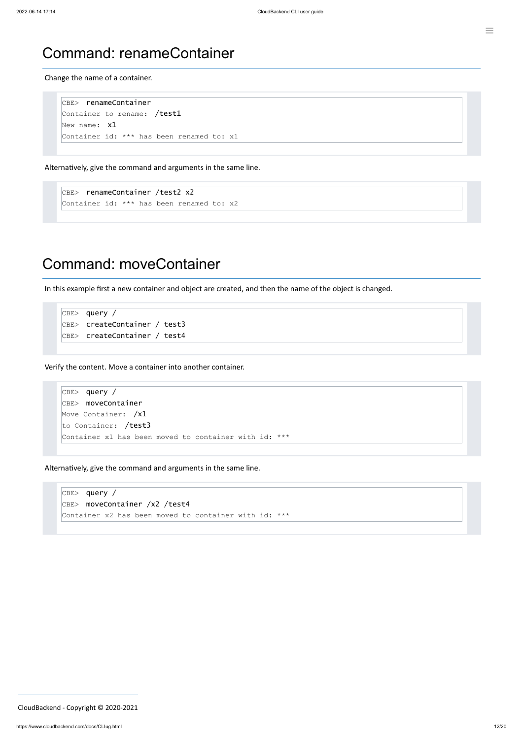```
CBE> renameContainer
Container to rename: /test1
New name: x1Container id: *** has been renamed to: x1
```
#### Command: renameContainer

Change the name of a container.

```
CBE> renameContainer /test2 x2
Container id: *** has been renamed to: x2
```
Alternatively, give the command and arguments in the same line.

```
CBE> query /
CBE> createContainer / test3
CBE> createContainer / test4
```
#### Command: moveContainer

In this example first a new container and object are created, and then the name of the object is changed.

Verify the content. Move a container into another container.

```
CBE> query /
CBE> moveContainer
Move Container: /x1
to Container: /test3
Container x1 has been moved to container with id: ***
```
Alternatively, give the command and arguments in the same line.

 $CBE>$  query / CBE> moveContainer /x2 /test4 Container x2 has been moved to container with id: \*\*\*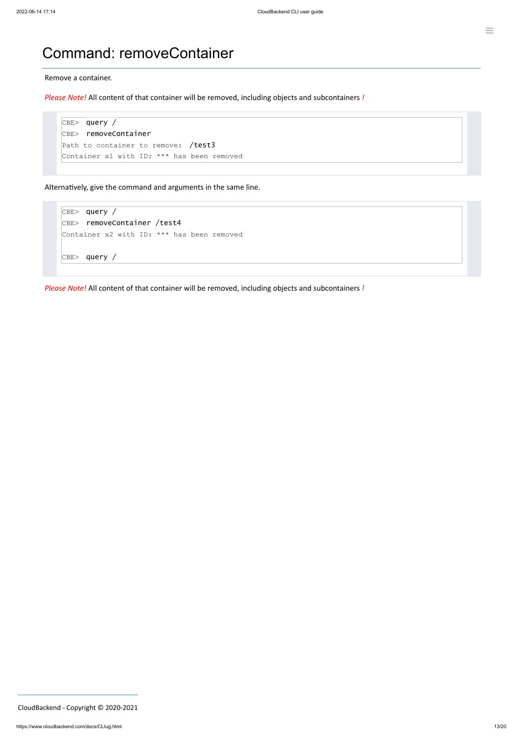#### Command: removeContainer

Remove a container.

*Please Note!* All content of that container will be removed, including objects and subcontainers *!*

```
CBE> query /
CBE> removeContainer
Path to container to remove: /test3
Container x1 with ID: *** has been removed
```
Alternatively, give the command and arguments in the same line.

```
CBE> query /
CBE> removeContainer /test4
Container x2 with ID: *** has been removed
CBE> query /
```
*Please Note!* All content of that container will be removed, including objects and subcontainers *!*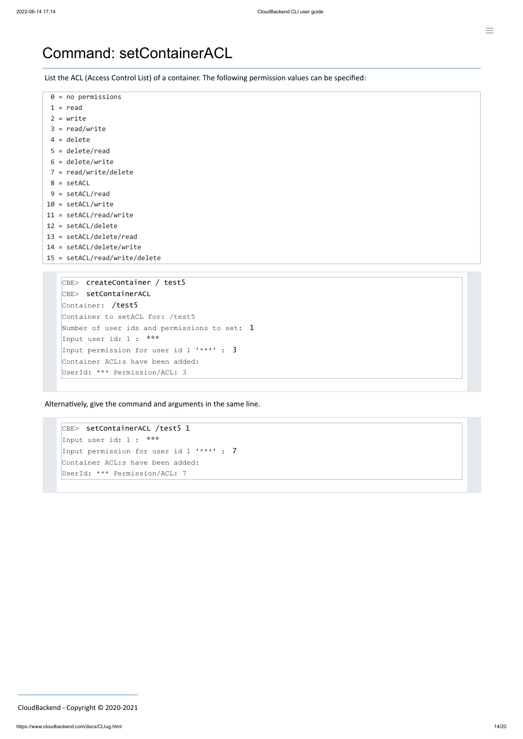#### Command: setContainerACL

List the ACL (Access Control List) of a container. The following permission values can be specified:

| $0 = no$ permissions            |
|---------------------------------|
| $1 = read$                      |
| $2 = write$                     |
| $3 = read/write$                |
| $4 =$ delete                    |
| $5 =$ delete/read               |
| $6 =$ delete/write              |
| $7 = read/write/delete$         |
| $8 = setACL$                    |
| $9 = setACL/read$               |
| $10 = setACL/write$             |
| $11 = setACL/read/write$        |
| $12 = setACL/delete$            |
| $13 = setACL/delete/read$       |
| $14 = setACL/delete/writeite$   |
| $15 = setACL/read/write/delete$ |
|                                 |
| createContainer / test5<br>CBE  |

```
CBE> setContainerACL /test5 1
Input user id: 1 : ***
Input permission for user id 1 '***' : 7
Container ACL:s have been added:
UserId: *** Permission/ACL: 7
```

```
CBE> setContainerACL
Container: /test5
Container to setACL for: /test5
Number of user ids and permissions to set: 1
Input user id: 1 : ***
Input permission for user id 1 '***' : 3
Container ACL:s have been added:
UserId: *** Permission/ACL: 3
```
Alternatively, give the command and arguments in the same line.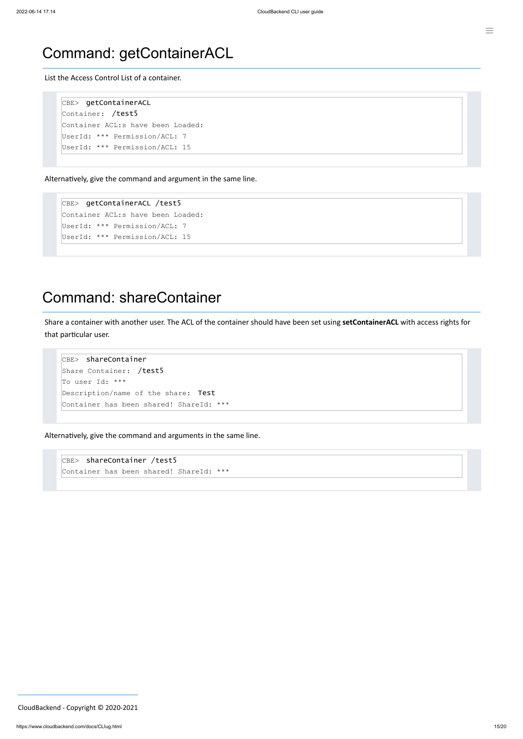#### Command: getContainerACL

List the Access Control List of a container.

```
CBE> getContainerACL
Container: /test5
Container ACL:s have been Loaded:
UserId: *** Permission/ACL: 7
UserId: *** Permission/ACL: 15
```
Alternatively, give the command and argument in the same line.

CBE> getContainerACL /test5 Container ACL:s have been Loaded: UserId: \*\*\* Permission/ACL: 7 UserId: \*\*\* Permission/ACL: 15

CBE> shareContainer /test5 Container has been shared! ShareId: \*\*\*

#### Command: shareContainer

Share a container with another user. The ACL of the container should have been set using **setContainerACL** with access rights for that particular user.

```
CBE> shareContainer
Share Container: /test5
To user Id: ***
Description/name of the share: Test
Container has been shared! ShareId: ***
```
Alternatively, give the command and arguments in the same line.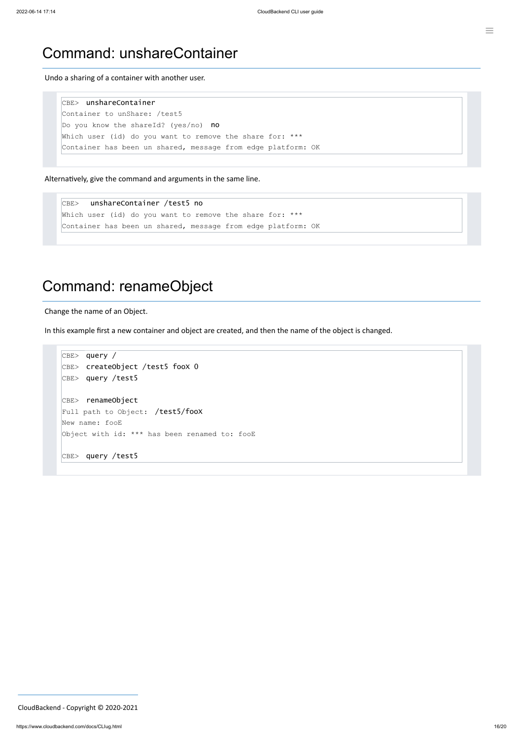#### Command: unshareContainer

Undo a sharing of a container with another user.

CBE> unshareContainer Container to unShare: /test5 Do you know the shareId? (yes/no) no Which user (id) do you want to remove the share for: \*\*\* Container has been un shared, message from edge platform: OK

Alternatively, give the command and arguments in the same line.

```
CBE> query /
CBE> createObject /test5 fooX 0
CBE> query /test5
CBE> renameObject
Full path to Object: /test5/fooX
New name: fooE
Object with id: *** has been renamed to: fooE
CBE> query /test5
```
CBE> unshareContainer /test5 no Which user (id) do you want to remove the share for: \*\*\* Container has been un shared, message from edge platform: OK

#### Command: renameObject

Change the name of an Object.

In this example first a new container and object are created, and then the name of the object is changed.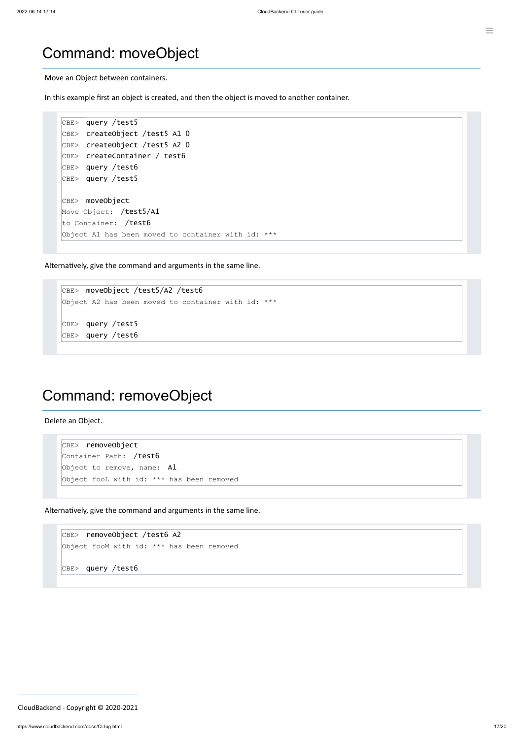#### Command: moveObject

Move an Object between containers.

In this example first an object is created, and then the object is moved to another container.

```
CBE> removeObject
Container Path: /test6
Object to remove, name: A1
Object fooL with id: *** has been removed
```

```
CBE> query /test5
CBE> createObject /test5 A1 0
CBE> createObject /test5 A2 0
CBE> createContainer / test6
CBE> query /test6
CBE> query /test5
CBE> moveObject
Move Object: /test5/A1
to Container: /test6
Object A1 has been moved to container with id: ***
```
CBE> removeObject /test6 A2 Object fooM with id: \*\*\* has been removed

Alternatively, give the command and arguments in the same line.

```
CBE> moveObject /test5/A2 /test6
Object A2 has been moved to container with id: ***
CBE> query /test5
CBE> query /test6
```
#### Command: removeObject

Delete an Object.

Alternatively, give the command and arguments in the same line.

#### CBE> query /test6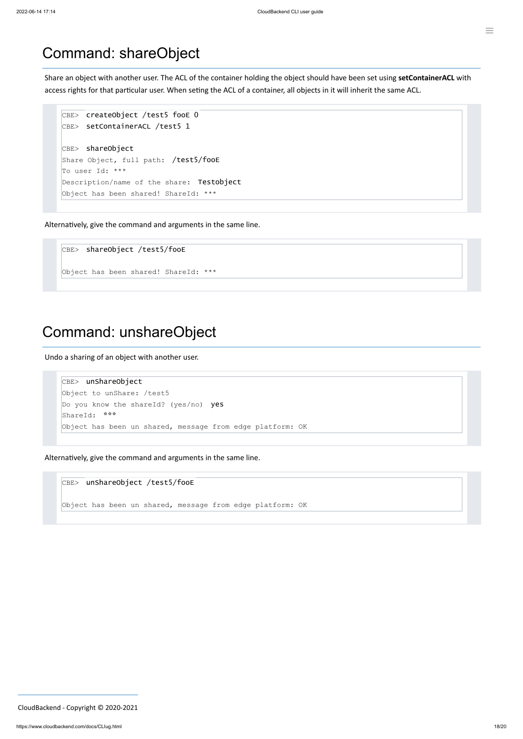#### Command: shareObject

Share an object with another user. The ACL of the container holding the object should have been set using **setContainerACL** with access rights for that particular user. When seting the ACL of a container, all objects in it will inherit the same ACL.

```
CBE> createObject /test5 fooE 0
CBE> setContainerACL /test5 1
CBE> shareObject
Share Object, full path: /test5/fooE
To user Id: ***
Description/name of the share: Testobject
Object has been shared! ShareId: ***
```
Alternatively, give the command and arguments in the same line.

CBE> shareObject /test5/fooE

Object has been shared! ShareId: \*\*\*

#### Command: unshareObject

Undo a sharing of an object with another user.

```
CBE> unShareObject
Object to unShare: /test5
Do you know the shareId? (yes/no) yes
ShareId: ***
Object has been un shared, message from edge platform: OK
```
Alternatively, give the command and arguments in the same line.

CBE> unShareObject /test5/fooE

Object has been un shared, message from edge platform: OK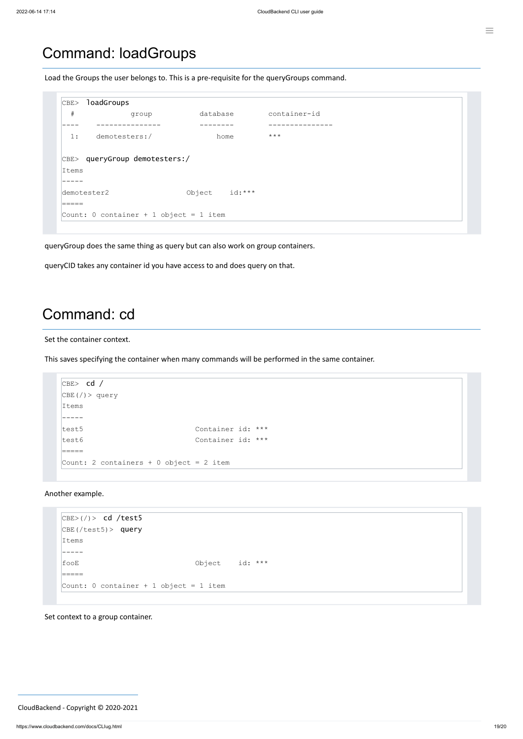#### <span id="page-18-0"></span>Command: loadGroups

Load the Groups the user belongs to. This is a pre-requisite for the queryGroups command.

```
CBE> loadGroups
 # group database container-id
 ---- --------------- -------- ---------------
 1: demotesters:/ home ***
CBE> queryGroup demotesters:/
Items
-----
demotester2 Object id:***
=====
Count: 0 container + 1 object = 1 item
```

```
CBE> (/)> cd /test5
CBE(/test5)> query
Items
 -----
```
queryGroup does the same thing as query but can also work on group containers.

queryCID takes any container id you have access to and does query on that.

#### Command: cd

Set the container context.

This saves specifying the container when many commands will be performed in the same container.

```
CBE> cd /
CBE (/) > query
Items
-----
test5 Container id: ***
test6 Container id: ***
=====
Count: 2 containers + 0 object = 2 item
```
Another example.

| fooE                                   | Object $id:***$ |  |
|----------------------------------------|-----------------|--|
|                                        |                 |  |
| Count: 0 container + 1 object = 1 item |                 |  |
|                                        |                 |  |

Set context to a group container.